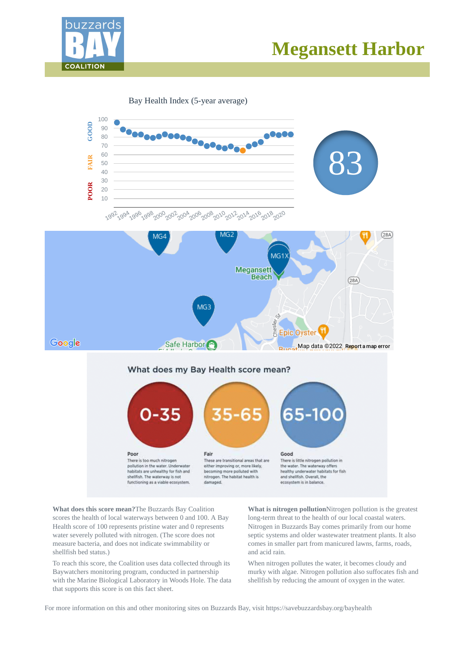

# **Megansett Harbor**

Bay Health Index (5-year average)



**What does this score mean?**The Buzzards Bay Coalition scores the health of local waterways between 0 and 100. A Bay Health score of 100 represents pristine water and 0 represents water severely polluted with nitrogen. (The score does not measure bacteria, and does not indicate swimmability or shellfish bed status.)

To reach this score, the Coalition uses data collected through its Baywatchers monitoring program, conducted in partnership with the Marine Biological Laboratory in Woods Hole. The data that supports this score is on this fact sheet.

**What is nitrogen pollution**Nitrogen pollution is the greatest long-term threat to the health of our local coastal waters. Nitrogen in Buzzards Bay comes primarily from our home septic systems and older wastewater treatment plants. It also comes in smaller part from manicured lawns, farms, roads, and acid rain.

When nitrogen pollutes the water, it becomes cloudy and murky with algae. Nitrogen pollution also suffocates fish and shellfish by reducing the amount of oxygen in the water.

For more information on this and other monitoring sites on Buzzards Bay, visit https://savebuzzardsbay.org/bayhealth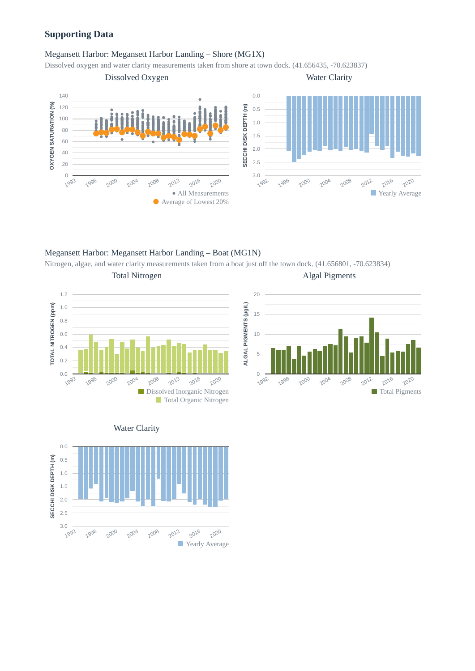# **Supporting Data**

## Megansett Harbor: Megansett Harbor Landing – Shore (MG1X)

Dissolved oxygen and water clarity measurements taken from shore at town dock. (41.656435, -70.623837)



Megansett Harbor: Megansett Harbor Landing – Boat (MG1N)

Nitrogen, algae, and water clarity measurements taken from a boat just off the town dock. (41.656801, -70.623834)











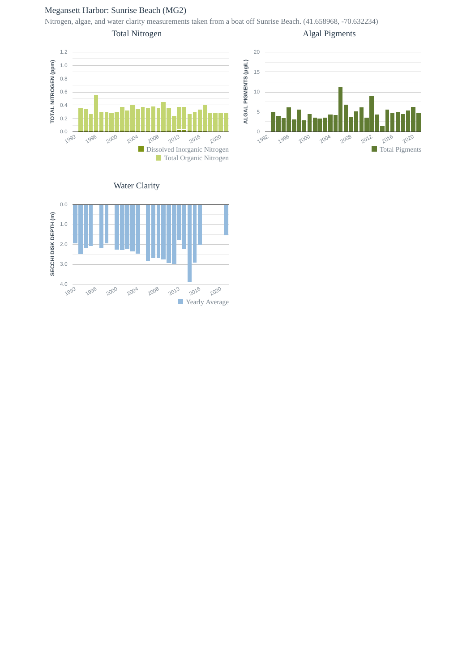# Megansett Harbor: Sunrise Beach (MG2)

Nitrogen, algae, and water clarity measurements taken from a boat off Sunrise Beach. (41.658968, -70.632234)

Total Nitrogen

Algal Pigments





Water Clarity

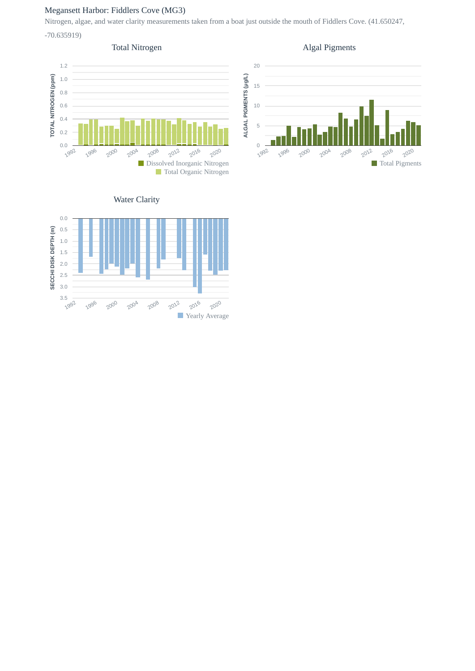# Megansett Harbor: Fiddlers Cove (MG3)

Nitrogen, algae, and water clarity measurements taken from a boat just outside the mouth of Fiddlers Cove. (41.650247,

-70.635919)

## Total Nitrogen







# Water Clarity